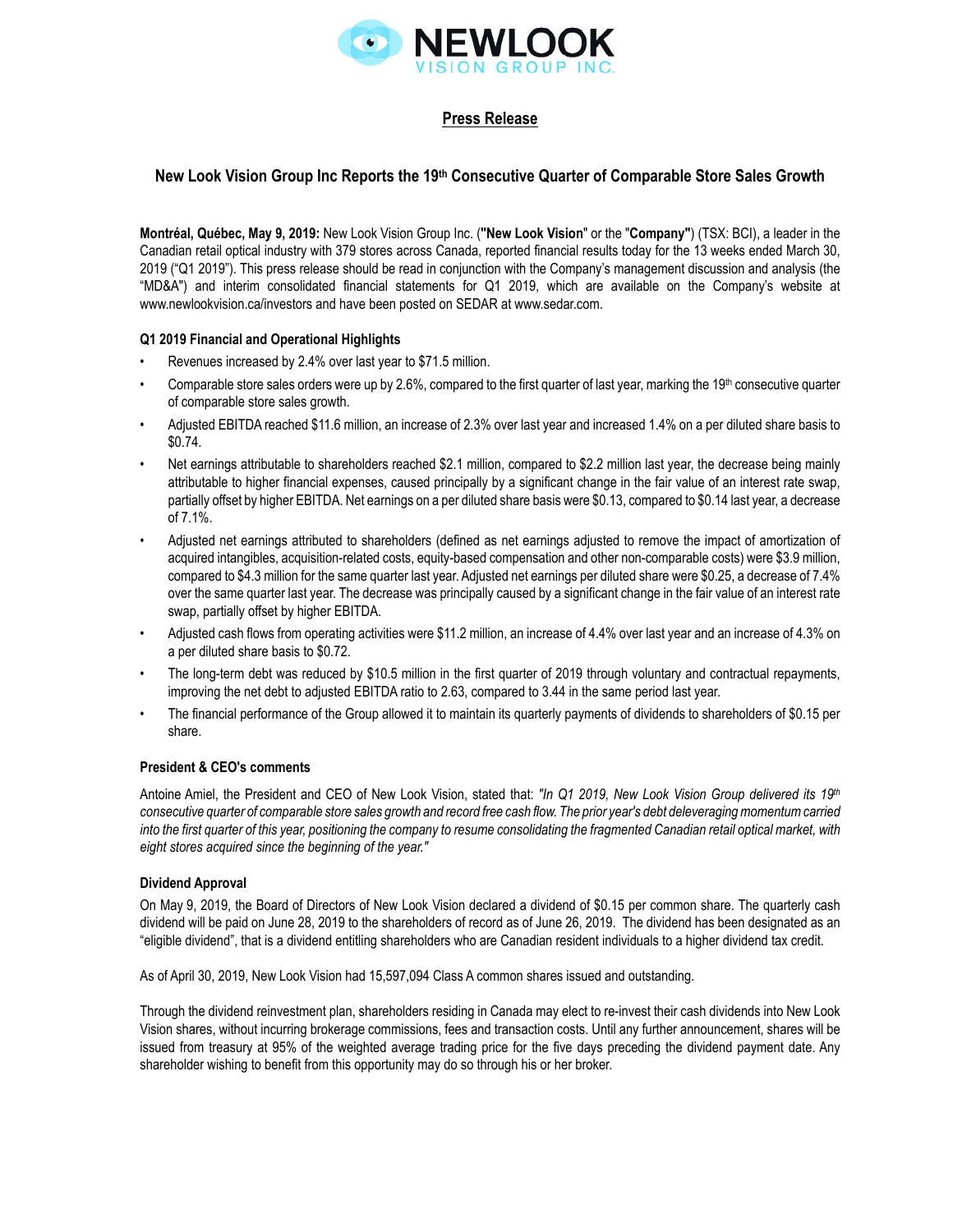

## **Press Release**

### **New Look Vision Group Inc Reports the 19th Consecutive Quarter of Comparable Store Sales Growth**

**Montréal, Québec, May 9, 2019:** New Look Vision Group Inc. (**"New Look Vision**" or the "**Company"**) (TSX: BCI), a leader in the Canadian retail optical industry with 379 stores across Canada, reported financial results today for the 13 weeks ended March 30, 2019 ("Q1 2019"). This press release should be read in conjunction with the Company's management discussion and analysis (the "MD&A") and interim consolidated financial statements for Q1 2019, which are available on the Company's website at www.newlookvision.ca/investors and have been posted on SEDAR at www.sedar.com.

### **Q1 2019 Financial and Operational Highlights**

- Revenues increased by 2.4% over last year to \$71.5 million.
- Comparable store sales orders were up by 2.6%, compared to the first quarter of last year, marking the 19<sup>th</sup> consecutive quarter of comparable store sales growth.
- Adjusted EBITDA reached \$11.6 million, an increase of 2.3% over last year and increased 1.4% on a per diluted share basis to \$0.74.
- Net earnings attributable to shareholders reached \$2.1 million, compared to \$2.2 million last year, the decrease being mainly attributable to higher financial expenses, caused principally by a significant change in the fair value of an interest rate swap, partially offset by higher EBITDA. Net earnings on a per diluted share basis were \$0.13, compared to \$0.14 last year, a decrease of 7.1%.
- Adjusted net earnings attributed to shareholders (defined as net earnings adjusted to remove the impact of amortization of acquired intangibles, acquisition-related costs, equity-based compensation and other non-comparable costs) were \$3.9 million, compared to \$4.3 million for the same quarter last year. Adjusted net earnings per diluted share were \$0.25, a decrease of 7.4% over the same quarter last year. The decrease was principally caused by a significant change in the fair value of an interest rate swap, partially offset by higher EBITDA.
- Adjusted cash flows from operating activities were \$11.2 million, an increase of 4.4% over last year and an increase of 4.3% on a per diluted share basis to \$0.72.
- The long-term debt was reduced by \$10.5 million in the first quarter of 2019 through voluntary and contractual repayments, improving the net debt to adjusted EBITDA ratio to 2.63, compared to 3.44 in the same period last year.
- The financial performance of the Group allowed it to maintain its quarterly payments of dividends to shareholders of \$0.15 per share.

### **President & CEO's comments**

Antoine Amiel, the President and CEO of New Look Vision, stated that: *"In Q1 2019, New Look Vision Group delivered its 19th consecutive quarter of comparable store sales growth and record free cash flow. The prior year's debt deleveraging momentum carried*  into the first quarter of this year, positioning the company to resume consolidating the fragmented Canadian retail optical market, with *eight stores acquired since the beginning of the year."*

### **Dividend Approval**

On May 9, 2019, the Board of Directors of New Look Vision declared a dividend of \$0.15 per common share. The quarterly cash dividend will be paid on June 28, 2019 to the shareholders of record as of June 26, 2019. The dividend has been designated as an "eligible dividend", that is a dividend entitling shareholders who are Canadian resident individuals to a higher dividend tax credit.

As of April 30, 2019, New Look Vision had 15,597,094 Class A common shares issued and outstanding.

Through the dividend reinvestment plan, shareholders residing in Canada may elect to re-invest their cash dividends into New Look Vision shares, without incurring brokerage commissions, fees and transaction costs. Until any further announcement, shares will be issued from treasury at 95% of the weighted average trading price for the five days preceding the dividend payment date. Any shareholder wishing to benefit from this opportunity may do so through his or her broker.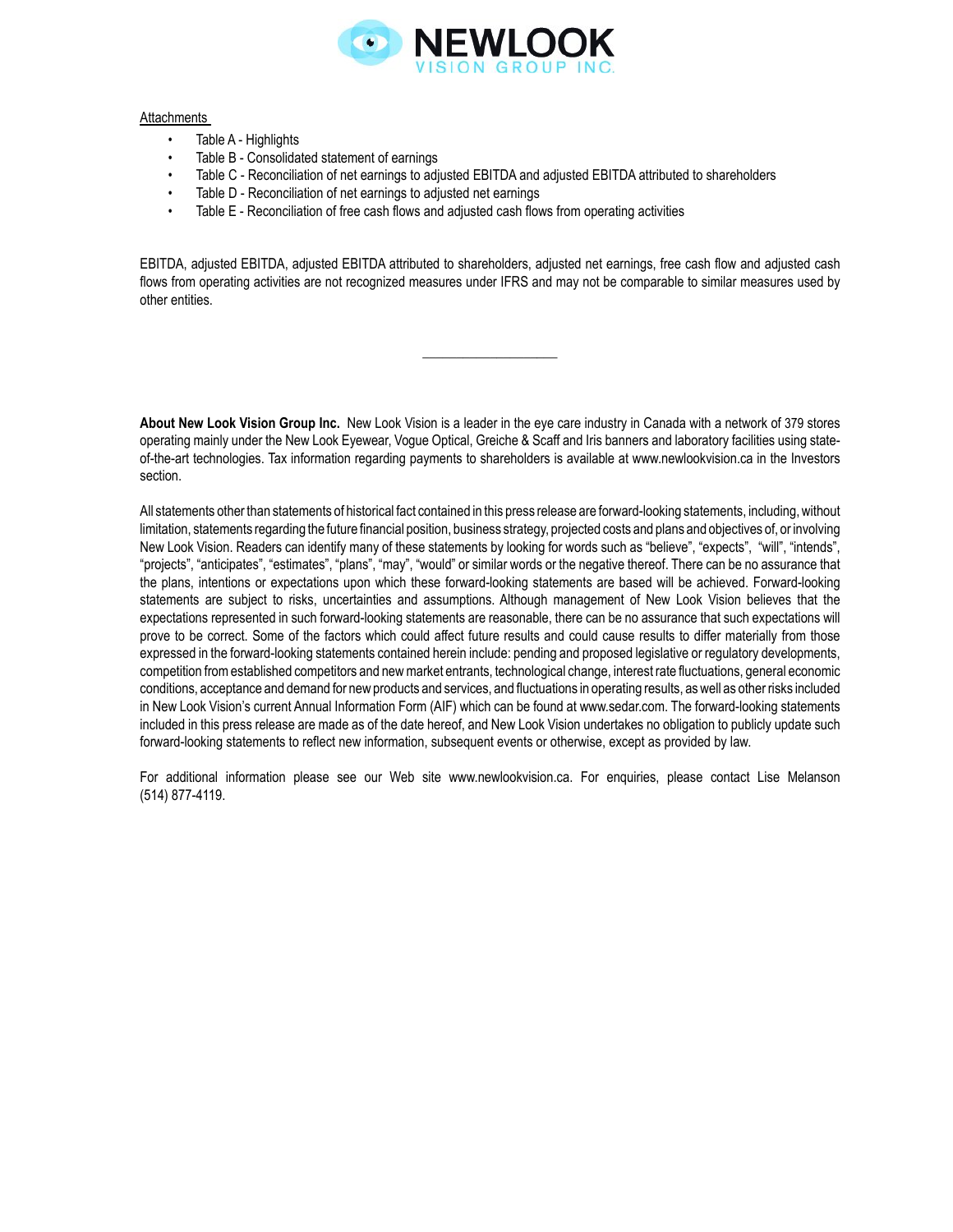

#### Attachments

- Table A Highlights
- Table B Consolidated statement of earnings
- Table C Reconciliation of net earnings to adjusted EBITDA and adjusted EBITDA attributed to shareholders
- Table D Reconciliation of net earnings to adjusted net earnings
- Table E Reconciliation of free cash flows and adjusted cash flows from operating activities

EBITDA, adjusted EBITDA, adjusted EBITDA attributed to shareholders, adjusted net earnings, free cash flow and adjusted cash flows from operating activities are not recognized measures under IFRS and may not be comparable to similar measures used by other entities.

\_\_\_\_\_\_\_\_\_\_\_\_\_\_\_\_\_\_\_\_

**About New Look Vision Group Inc.** New Look Vision is a leader in the eye care industry in Canada with a network of 379 stores operating mainly under the New Look Eyewear, Vogue Optical, Greiche & Scaff and Iris banners and laboratory facilities using stateof-the-art technologies. Tax information regarding payments to shareholders is available at www.newlookvision.ca in the Investors section.

All statements other than statements of historical fact contained in this press release are forward-looking statements, including, without limitation, statements regarding the future financial position, business strategy, projected costs and plans and objectives of, or involving New Look Vision. Readers can identify many of these statements by looking for words such as "believe", "expects", "will", "intends", "projects", "anticipates", "estimates", "plans", "may", "would" or similar words or the negative thereof. There can be no assurance that the plans, intentions or expectations upon which these forward-looking statements are based will be achieved. Forward-looking statements are subject to risks, uncertainties and assumptions. Although management of New Look Vision believes that the expectations represented in such forward-looking statements are reasonable, there can be no assurance that such expectations will prove to be correct. Some of the factors which could affect future results and could cause results to differ materially from those expressed in the forward-looking statements contained herein include: pending and proposed legislative or regulatory developments, competition from established competitors and new market entrants, technological change, interest rate fluctuations, general economic conditions, acceptance and demand for new products and services, and fluctuations in operating results, as well as other risks included in New Look Vision's current Annual Information Form (AIF) which can be found at www.sedar.com. The forward-looking statements included in this press release are made as of the date hereof, and New Look Vision undertakes no obligation to publicly update such forward-looking statements to reflect new information, subsequent events or otherwise, except as provided by law.

For additional information please see our Web site www.newlookvision.ca. For enquiries, please contact Lise Melanson (514) 877-4119.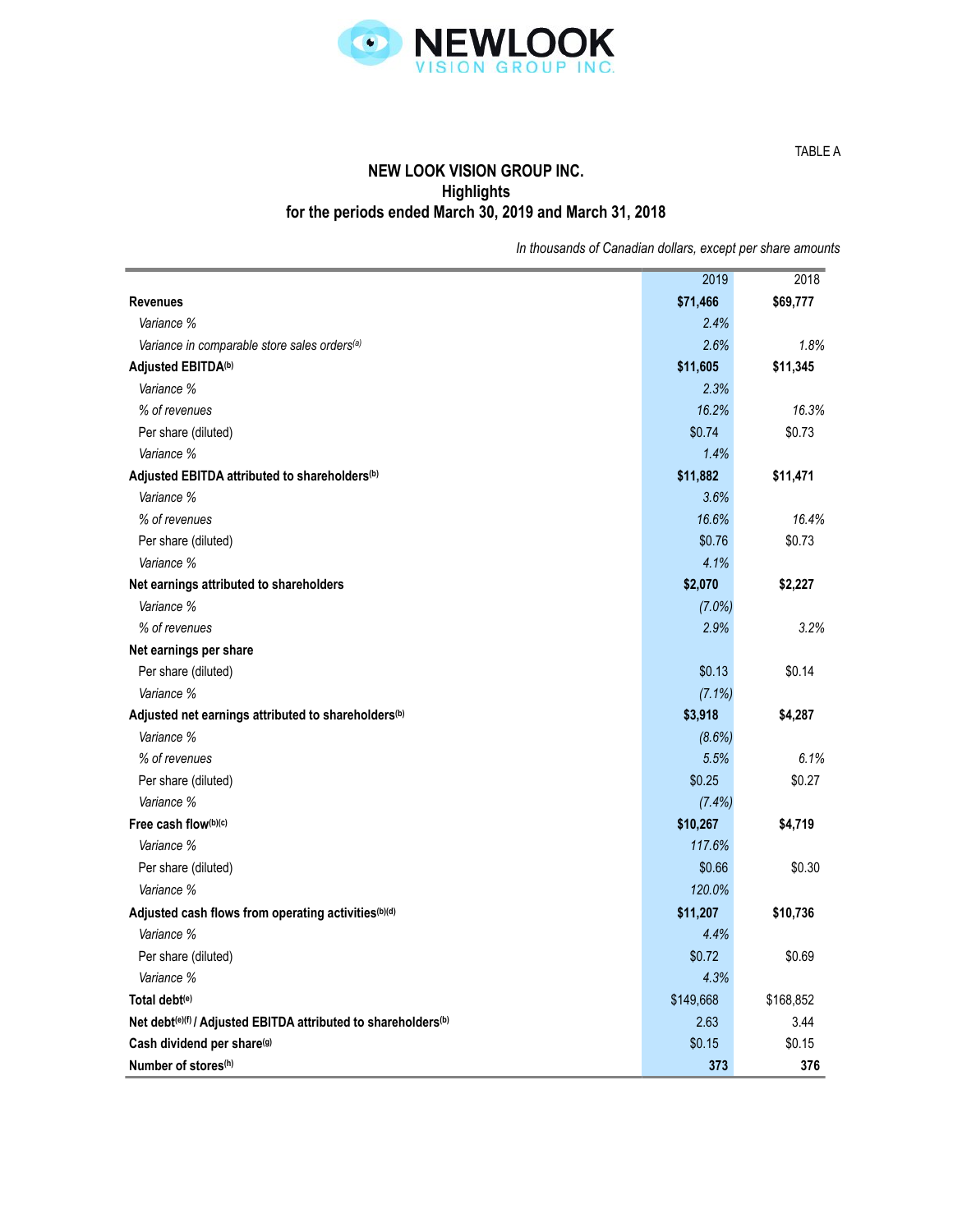

# **NEW LOOK VISION GROUP INC. Highlights for the periods ended March 30, 2019 and March 31, 2018**

*In thousands of Canadian dollars, except per share amounts*

|                                                                                        | 2019      | 2018      |
|----------------------------------------------------------------------------------------|-----------|-----------|
| <b>Revenues</b>                                                                        | \$71,466  | \$69,777  |
| Variance %                                                                             | 2.4%      |           |
| Variance in comparable store sales orders <sup>(a)</sup>                               | 2.6%      | 1.8%      |
| Adjusted EBITDA(b)                                                                     | \$11,605  | \$11,345  |
| Variance %                                                                             | 2.3%      |           |
| % of revenues                                                                          | 16.2%     | 16.3%     |
| Per share (diluted)                                                                    | \$0.74    | \$0.73    |
| Variance %                                                                             | 1.4%      |           |
| Adjusted EBITDA attributed to shareholders <sup>(b)</sup>                              | \$11,882  | \$11,471  |
| Variance %                                                                             | 3.6%      |           |
| % of revenues                                                                          | 16.6%     | 16.4%     |
| Per share (diluted)                                                                    | \$0.76    | \$0.73    |
| Variance %                                                                             | 4.1%      |           |
| Net earnings attributed to shareholders                                                | \$2,070   | \$2,227   |
| Variance %                                                                             | (7.0%)    |           |
| % of revenues                                                                          | 2.9%      | 3.2%      |
| Net earnings per share                                                                 |           |           |
| Per share (diluted)                                                                    | \$0.13    | \$0.14    |
| Variance %                                                                             | (7.1%)    |           |
| Adjusted net earnings attributed to shareholders <sup>(b)</sup>                        | \$3,918   | \$4,287   |
| Variance %                                                                             | (8.6%)    |           |
| % of revenues                                                                          | 5.5%      | 6.1%      |
| Per share (diluted)                                                                    | \$0.25    | \$0.27    |
| Variance %                                                                             | $(7.4\%)$ |           |
| Free cash flow(b)(c)                                                                   | \$10,267  | \$4,719   |
| Variance %                                                                             | 117.6%    |           |
| Per share (diluted)                                                                    | \$0.66    | \$0.30    |
| Variance %                                                                             | 120.0%    |           |
| Adjusted cash flows from operating activities(b)(d)                                    | \$11,207  | \$10,736  |
| Variance %                                                                             | 4.4%      |           |
| Per share (diluted)                                                                    | \$0.72    | \$0.69    |
| Variance %                                                                             | 4.3%      |           |
| Total debt <sup>(e)</sup>                                                              | \$149,668 | \$168,852 |
| Net debt <sup>(e)(f)</sup> / Adjusted EBITDA attributed to shareholders <sup>(b)</sup> | 2.63      | 3.44      |
| Cash dividend per share(g)                                                             | \$0.15    | \$0.15    |
| Number of stores <sup>(h)</sup>                                                        | 373       | 376       |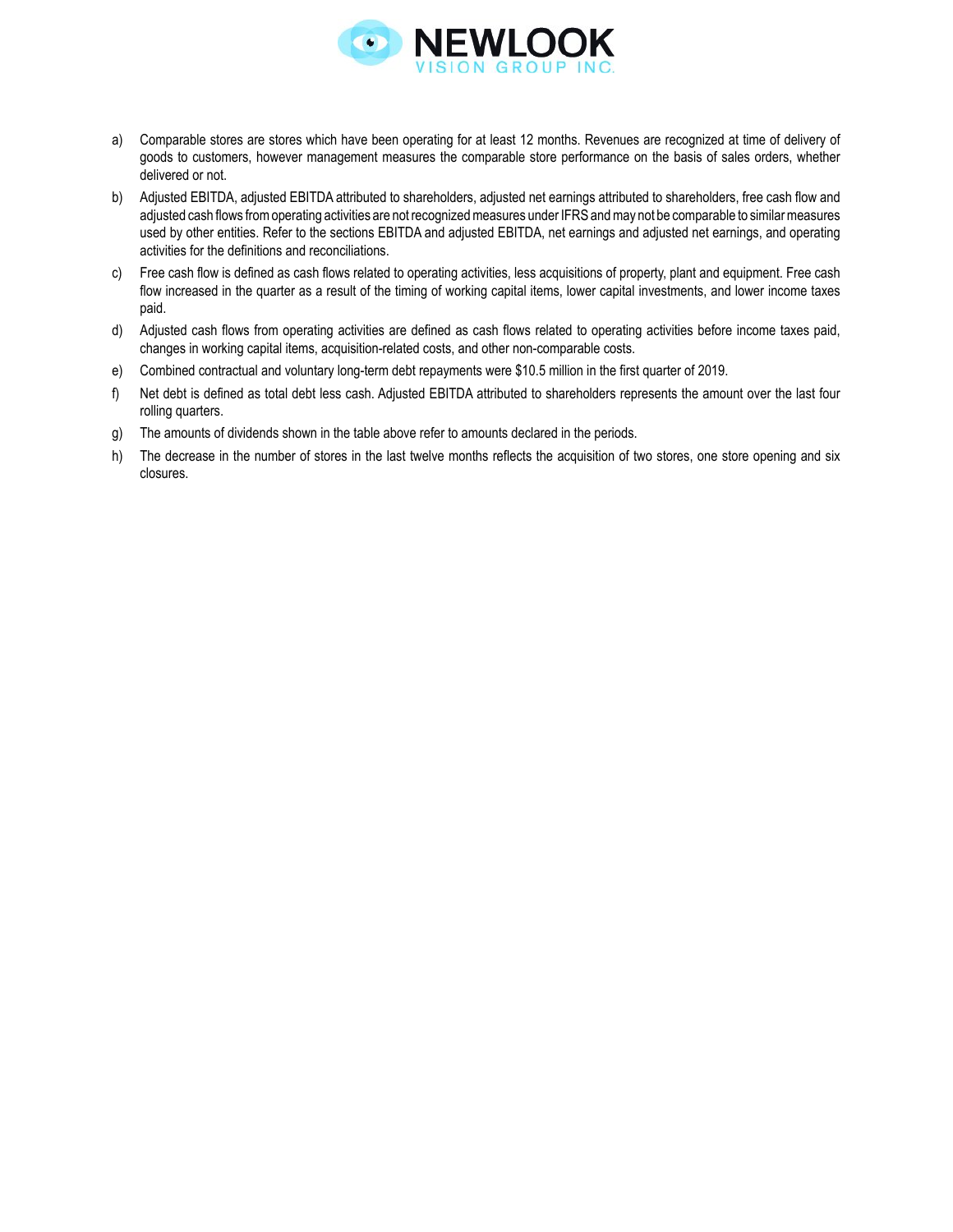

- a) Comparable stores are stores which have been operating for at least 12 months. Revenues are recognized at time of delivery of goods to customers, however management measures the comparable store performance on the basis of sales orders, whether delivered or not.
- b) Adjusted EBITDA, adjusted EBITDA attributed to shareholders, adjusted net earnings attributed to shareholders, free cash flow and adjusted cash flows from operating activities are not recognized measures under IFRS and may not be comparable to similar measures used by other entities. Refer to the sections EBITDA and adjusted EBITDA, net earnings and adjusted net earnings, and operating activities for the definitions and reconciliations.
- c) Free cash flow is defined as cash flows related to operating activities, less acquisitions of property, plant and equipment. Free cash flow increased in the quarter as a result of the timing of working capital items, lower capital investments, and lower income taxes paid.
- d) Adjusted cash flows from operating activities are defined as cash flows related to operating activities before income taxes paid, changes in working capital items, acquisition-related costs, and other non-comparable costs.
- e) Combined contractual and voluntary long-term debt repayments were \$10.5 million in the first quarter of 2019.
- f) Net debt is defined as total debt less cash. Adjusted EBITDA attributed to shareholders represents the amount over the last four rolling quarters.
- g) The amounts of dividends shown in the table above refer to amounts declared in the periods.
- h) The decrease in the number of stores in the last twelve months reflects the acquisition of two stores, one store opening and six closures.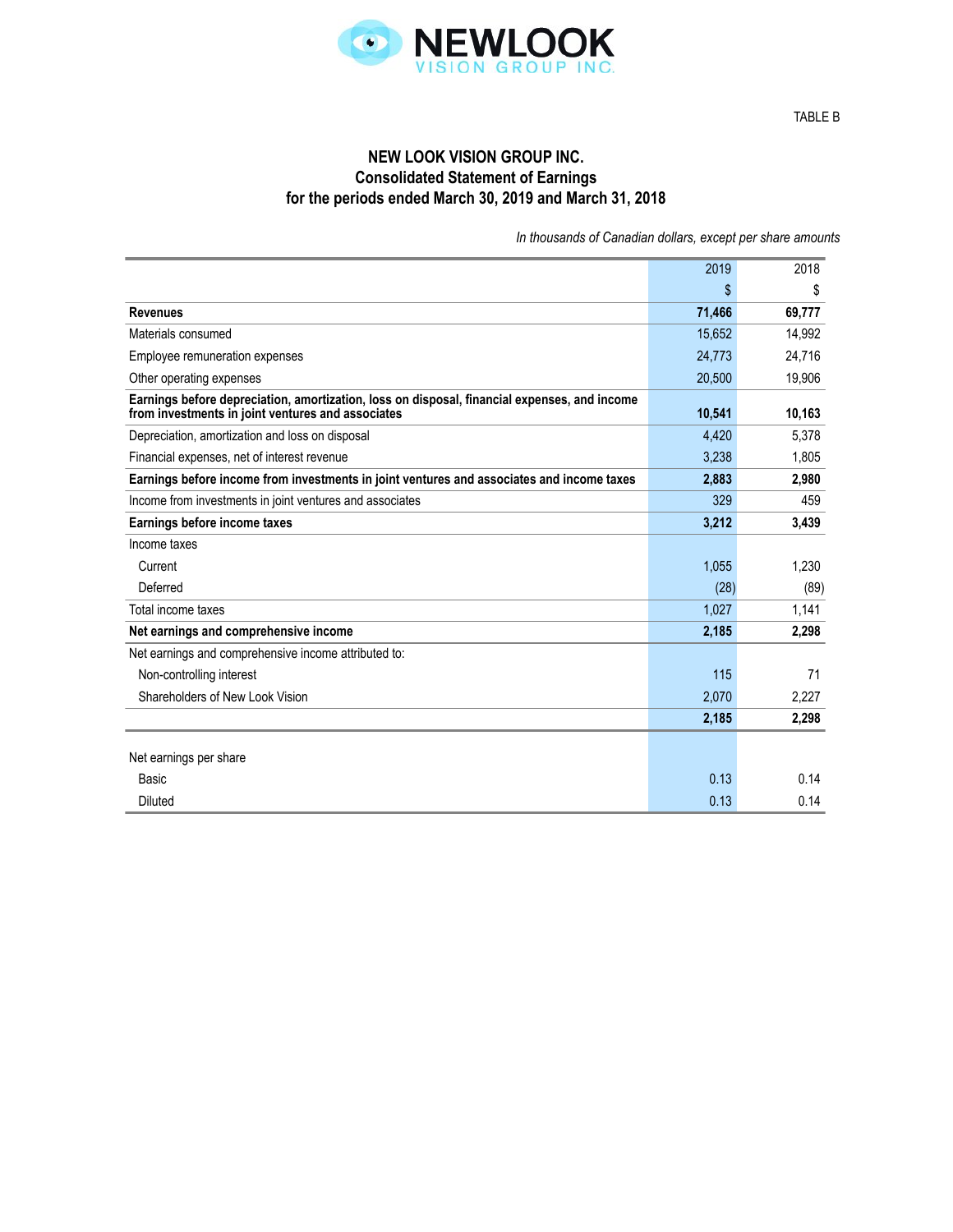

TABLE B

# **NEW LOOK VISION GROUP INC. Consolidated Statement of Earnings for the periods ended March 30, 2019 and March 31, 2018**

*In thousands of Canadian dollars, except per share amounts*

|                                                                                                                                                   | 2019   | 2018   |
|---------------------------------------------------------------------------------------------------------------------------------------------------|--------|--------|
|                                                                                                                                                   | \$     | \$     |
| <b>Revenues</b>                                                                                                                                   | 71,466 | 69,777 |
| Materials consumed                                                                                                                                | 15,652 | 14,992 |
| Employee remuneration expenses                                                                                                                    | 24,773 | 24,716 |
| Other operating expenses                                                                                                                          | 20,500 | 19,906 |
| Earnings before depreciation, amortization, loss on disposal, financial expenses, and income<br>from investments in joint ventures and associates | 10,541 | 10,163 |
| Depreciation, amortization and loss on disposal                                                                                                   | 4,420  | 5,378  |
| Financial expenses, net of interest revenue                                                                                                       | 3,238  | 1,805  |
| Earnings before income from investments in joint ventures and associates and income taxes                                                         | 2,883  | 2,980  |
| Income from investments in joint ventures and associates                                                                                          | 329    | 459    |
| Earnings before income taxes                                                                                                                      | 3,212  | 3,439  |
| Income taxes                                                                                                                                      |        |        |
| Current                                                                                                                                           | 1,055  | 1.230  |
| Deferred                                                                                                                                          | (28)   | (89)   |
| Total income taxes                                                                                                                                | 1,027  | 1.141  |
| Net earnings and comprehensive income                                                                                                             | 2,185  | 2,298  |
| Net earnings and comprehensive income attributed to:                                                                                              |        |        |
| Non-controlling interest                                                                                                                          | 115    | 71     |
| Shareholders of New Look Vision                                                                                                                   | 2.070  | 2.227  |
|                                                                                                                                                   | 2,185  | 2,298  |
|                                                                                                                                                   |        |        |
| Net earnings per share                                                                                                                            |        |        |
| Basic                                                                                                                                             | 0.13   | 0.14   |
| <b>Diluted</b>                                                                                                                                    | 0.13   | 0.14   |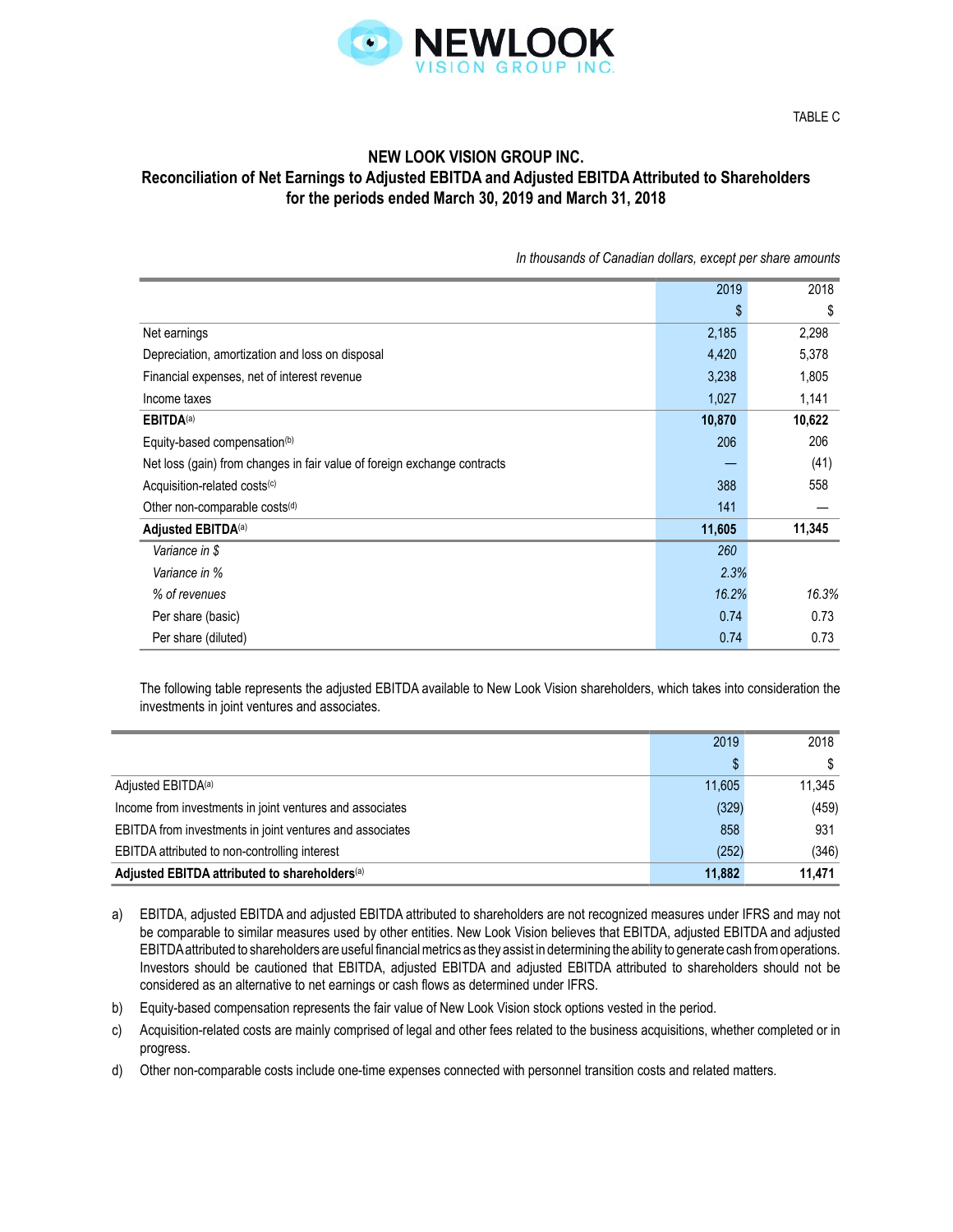

## **NEW LOOK VISION GROUP INC. Reconciliation of Net Earnings to Adjusted EBITDA and Adjusted EBITDA Attributed to Shareholders for the periods ended March 30, 2019 and March 31, 2018**

|                                                                          | 2019   | 2018   |
|--------------------------------------------------------------------------|--------|--------|
|                                                                          | \$     | \$     |
| Net earnings                                                             | 2,185  | 2,298  |
| Depreciation, amortization and loss on disposal                          | 4,420  | 5,378  |
| Financial expenses, net of interest revenue                              | 3,238  | 1,805  |
| Income taxes                                                             | 1,027  | 1,141  |
| <b>EBITDA(a)</b>                                                         | 10,870 | 10,622 |
| Equity-based compensation <sup>(b)</sup>                                 | 206    | 206    |
| Net loss (gain) from changes in fair value of foreign exchange contracts |        | (41)   |
| Acquisition-related costs <sup>(c)</sup>                                 | 388    | 558    |
| Other non-comparable costs <sup>(d)</sup>                                | 141    |        |
| Adjusted EBITDA(a)                                                       | 11,605 | 11,345 |
| Variance in \$                                                           | 260    |        |
| Variance in %                                                            | 2.3%   |        |
| % of revenues                                                            | 16.2%  | 16.3%  |
| Per share (basic)                                                        | 0.74   | 0.73   |
| Per share (diluted)                                                      | 0.74   | 0.73   |

*In thousands of Canadian dollars, except per share amounts*

The following table represents the adjusted EBITDA available to New Look Vision shareholders, which takes into consideration the investments in joint ventures and associates.

|                                                           | 2019   | 2018   |
|-----------------------------------------------------------|--------|--------|
|                                                           |        | S      |
| Adjusted EBITDA <sup>(a)</sup>                            | 11,605 | 11.345 |
| Income from investments in joint ventures and associates  | (329)  | (459)  |
| EBITDA from investments in joint ventures and associates  | 858    | 931    |
| EBITDA attributed to non-controlling interest             | (252)  | (346)  |
| Adjusted EBITDA attributed to shareholders <sup>(a)</sup> | 11,882 | 11,471 |

- a) EBITDA, adjusted EBITDA and adjusted EBITDA attributed to shareholders are not recognized measures under IFRS and may not be comparable to similar measures used by other entities. New Look Vision believes that EBITDA, adjusted EBITDA and adjusted EBITDAattributed to shareholders are useful financial metrics as they assist in determining the ability to generate cash from operations. Investors should be cautioned that EBITDA, adjusted EBITDA and adjusted EBITDA attributed to shareholders should not be considered as an alternative to net earnings or cash flows as determined under IFRS.
- b) Equity-based compensation represents the fair value of New Look Vision stock options vested in the period.
- c) Acquisition-related costs are mainly comprised of legal and other fees related to the business acquisitions, whether completed or in progress.
- d) Other non-comparable costs include one-time expenses connected with personnel transition costs and related matters.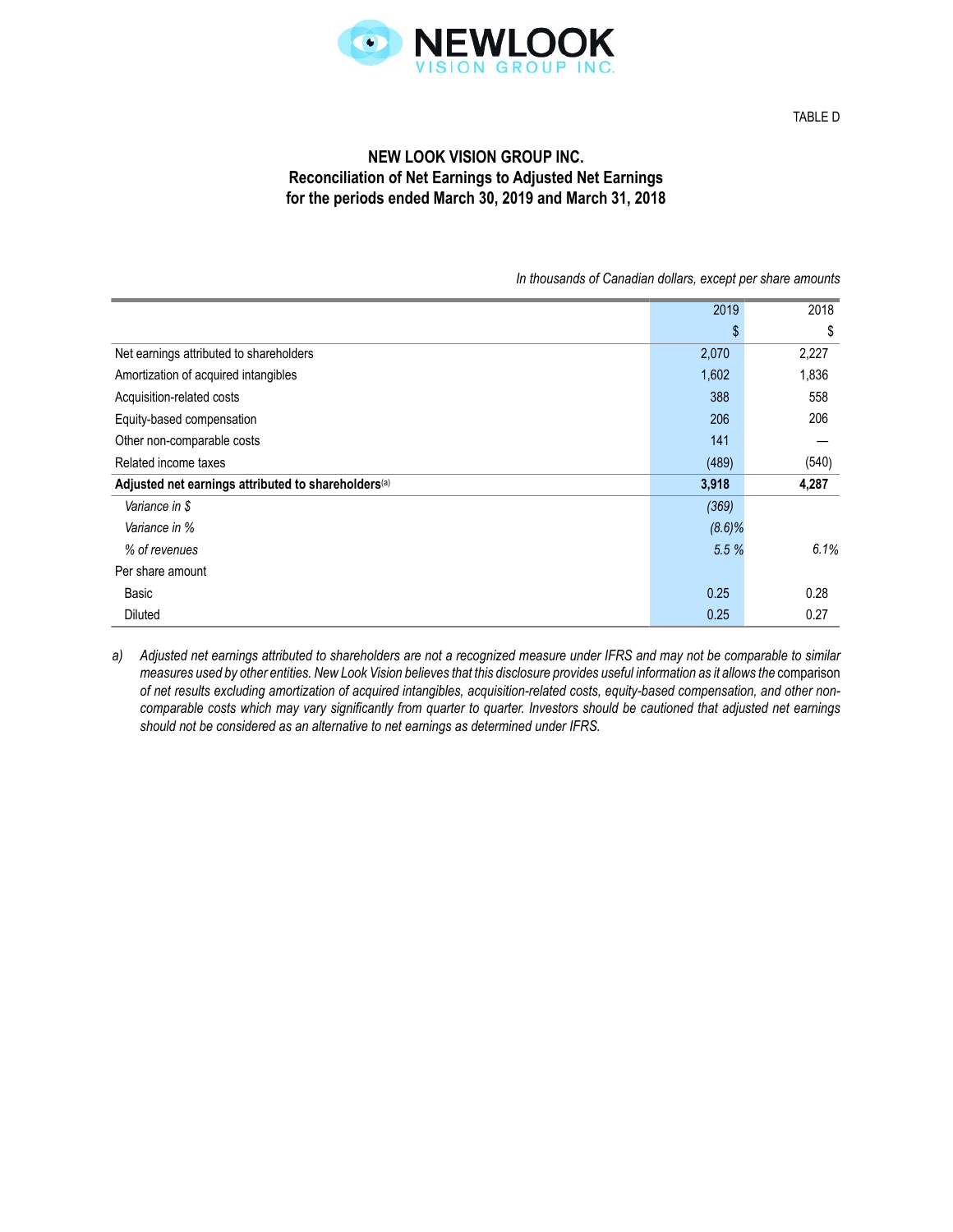

TABLE D

## **NEW LOOK VISION GROUP INC. Reconciliation of Net Earnings to Adjusted Net Earnings for the periods ended March 30, 2019 and March 31, 2018**

*In thousands of Canadian dollars, except per share amounts*

|                                                                 | 2019   | 2018  |
|-----------------------------------------------------------------|--------|-------|
|                                                                 | \$     | \$    |
| Net earnings attributed to shareholders                         | 2,070  | 2,227 |
| Amortization of acquired intangibles                            | 1,602  | 1,836 |
| Acquisition-related costs                                       | 388    | 558   |
| Equity-based compensation                                       | 206    | 206   |
| Other non-comparable costs                                      | 141    |       |
| Related income taxes                                            | (489)  | (540) |
| Adjusted net earnings attributed to shareholders <sup>(a)</sup> | 3,918  | 4,287 |
| Variance in \$                                                  | (369)  |       |
| Variance in %                                                   | (8.6)% |       |
| % of revenues                                                   | 5.5 %  | 6.1%  |
| Per share amount                                                |        |       |
| Basic                                                           | 0.25   | 0.28  |
| <b>Diluted</b>                                                  | 0.25   | 0.27  |

*a) Adjusted net earnings attributed to shareholders are not a recognized measure under IFRS and may not be comparable to similar measures used by other entities. New Look Vision believes that this disclosure provides useful information as it allows the* comparison *of net results excluding amortization of acquired intangibles, acquisition-related costs, equity-based compensation, and other noncomparable costs which may vary significantly from quarter to quarter. Investors should be cautioned that adjusted net earnings should not be considered as an alternative to net earnings as determined under IFRS.*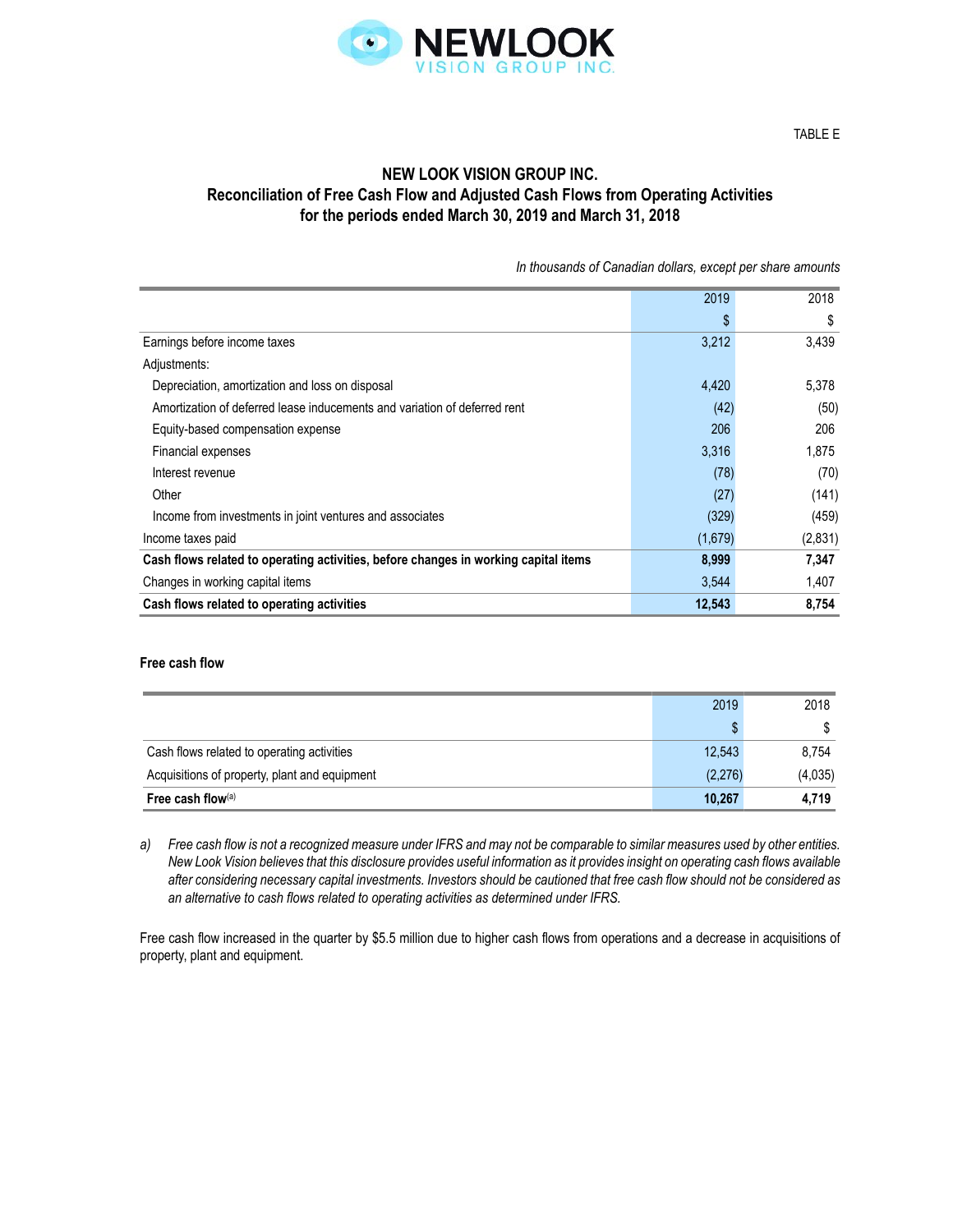

TABLE E

## **NEW LOOK VISION GROUP INC. Reconciliation of Free Cash Flow and Adjusted Cash Flows from Operating Activities for the periods ended March 30, 2019 and March 31, 2018**

*In thousands of Canadian dollars, except per share amounts*

|                                                                                     | 2019    | 2018    |
|-------------------------------------------------------------------------------------|---------|---------|
|                                                                                     | \$      | \$      |
| Earnings before income taxes                                                        | 3,212   | 3,439   |
| Adjustments:                                                                        |         |         |
| Depreciation, amortization and loss on disposal                                     | 4,420   | 5,378   |
| Amortization of deferred lease inducements and variation of deferred rent           | (42)    | (50)    |
| Equity-based compensation expense                                                   | 206     | 206     |
| Financial expenses                                                                  | 3,316   | 1,875   |
| Interest revenue                                                                    | (78)    | (70)    |
| Other                                                                               | (27)    | (141)   |
| Income from investments in joint ventures and associates                            | (329)   | (459)   |
| Income taxes paid                                                                   | (1,679) | (2,831) |
| Cash flows related to operating activities, before changes in working capital items | 8,999   | 7,347   |
| Changes in working capital items                                                    | 3,544   | 1,407   |
| Cash flows related to operating activities                                          | 12,543  | 8,754   |

#### **Free cash flow**

|                                               | 2019    | 2018    |
|-----------------------------------------------|---------|---------|
|                                               |         |         |
| Cash flows related to operating activities    | 12,543  | 8,754   |
| Acquisitions of property, plant and equipment | (2,276) | (4,035) |
| Free cash flow(a)                             | 10,267  | 4.719   |

*a) Free cash flow is not a recognized measure under IFRS and may not be comparable to similar measures used by other entities. New Look Vision believes that this disclosure provides useful information as it provides insight on operating cash flows available after considering necessary capital investments. Investors should be cautioned that free cash flow should not be considered as an alternative to cash flows related to operating activities as determined under IFRS.*

Free cash flow increased in the quarter by \$5.5 million due to higher cash flows from operations and a decrease in acquisitions of property, plant and equipment.